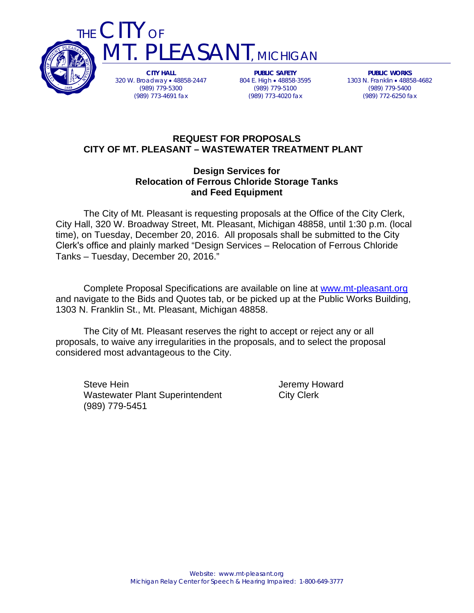

THE CITY OF PLEASANT, MICHIGAN

> **CITY HALL**  320 W. Broadway 48858-2447 (989) 779-5300 (989) 773-4691 fax

**PUBLIC SAFETY**  804 E. High • 48858-3595 (989) 779-5100 (989) 773-4020 fax

**PUBLIC WORKS**  1303 N. Franklin 48858-4682 (989) 779-5400 (989) 772-6250 fax

## **REQUEST FOR PROPOSALS CITY OF MT. PLEASANT – WASTEWATER TREATMENT PLANT**

## **Design Services for Relocation of Ferrous Chloride Storage Tanks and Feed Equipment**

The City of Mt. Pleasant is requesting proposals at the Office of the City Clerk, City Hall, 320 W. Broadway Street, Mt. Pleasant, Michigan 48858, until 1:30 p.m. (local time), on Tuesday, December 20, 2016. All proposals shall be submitted to the City Clerk's office and plainly marked "Design Services – Relocation of Ferrous Chloride Tanks – Tuesday, December 20, 2016."

Complete Proposal Specifications are available on line at www.mt-pleasant.org and navigate to the Bids and Quotes tab, or be picked up at the Public Works Building, 1303 N. Franklin St., Mt. Pleasant, Michigan 48858.

The City of Mt. Pleasant reserves the right to accept or reject any or all proposals, to waive any irregularities in the proposals, and to select the proposal considered most advantageous to the City.

Steve Hein **Steve Hein** Jeremy Howard Wastewater Plant Superintendent City Clerk (989) 779-5451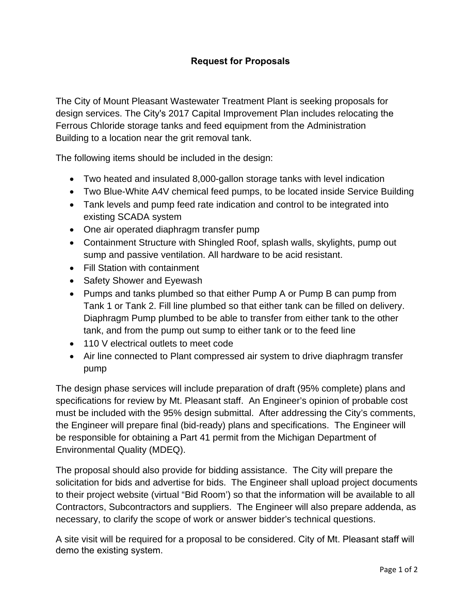The City of Mount Pleasant Wastewater Treatment Plant is seeking proposals for design services. The City's 2017 Capital Improvement Plan includes relocating the Ferrous Chloride storage tanks and feed equipment from the Administration Building to a location near the grit removal tank.

The following items should be included in the design:

- Two heated and insulated 8,000-gallon storage tanks with level indication
- Two Blue-White A4V chemical feed pumps, to be located inside Service Building
- Tank levels and pump feed rate indication and control to be integrated into existing SCADA system
- One air operated diaphragm transfer pump
- Containment Structure with Shingled Roof, splash walls, skylights, pump out sump and passive ventilation. All hardware to be acid resistant.
- Fill Station with containment
- Safety Shower and Eyewash
- Pumps and tanks plumbed so that either Pump A or Pump B can pump from Tank 1 or Tank 2. Fill line plumbed so that either tank can be filled on delivery. Diaphragm Pump plumbed to be able to transfer from either tank to the other tank, and from the pump out sump to either tank or to the feed line
- 110 V electrical outlets to meet code
- Air line connected to Plant compressed air system to drive diaphragm transfer pump

The design phase services will include preparation of draft (95% complete) plans and specifications for review by Mt. Pleasant staff. An Engineer's opinion of probable cost must be included with the 95% design submittal. After addressing the City's comments, the Engineer will prepare final (bid-ready) plans and specifications. The Engineer will be responsible for obtaining a Part 41 permit from the Michigan Department of Environmental Quality (MDEQ).

The proposal should also provide for bidding assistance. The City will prepare the solicitation for bids and advertise for bids. The Engineer shall upload project documents to their project website (virtual "Bid Room') so that the information will be available to all Contractors, Subcontractors and suppliers. The Engineer will also prepare addenda, as necessary, to clarify the scope of work or answer bidder's technical questions.

A site visit will be required for a proposal to be considered. City of Mt. Pleasant staff will demo the existing system.